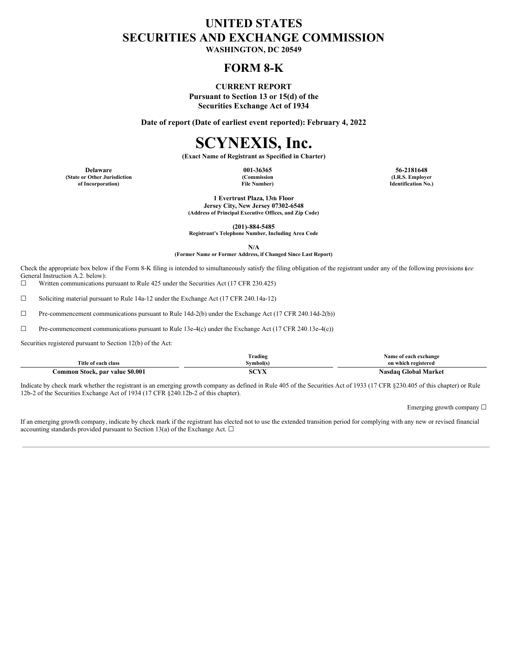## **UNITED STATES SECURITIES AND EXCHANGE COMMISSION**

**WASHINGTON, DC 20549**

## **FORM 8-K**

#### **CURRENT REPORT**

**Pursuant to Section 13 or 15(d) of the Securities Exchange Act of 1934**

**Date of report (Date of earliest event reported): February 4, 2022**

# **SCYNEXIS, Inc.**

**(Exact Name of Registrant as Specified in Charter)**

**(State or Other Jurisdiction of Incorporation)**

**(Commission File Number)**

**Delaware 001-36365 56-2181648 (I.R.S. Employer Identification No.)**

> **1 Evertrust Plaza, 13th Floor Jersey City, New Jersey 07302-6548 (Address of Principal Executive Offices, and Zip Code)**

> > **(201)-884-5485**

**Registrant's Telephone Number, Including Area Code**

**N/A (Former Name or Former Address, if Changed Since Last Report)**

Check the appropriate box below if the Form 8-K filing is intended to simultaneously satisfy the filing obligation of the registrant under any of the following provisions (*see* General Instruction A.2. below):

☐ Written communications pursuant to Rule 425 under the Securities Act (17 CFR 230.425)

 $\Box$  Soliciting material pursuant to Rule 14a-12 under the Exchange Act (17 CFR 240.14a-12)

☐ Pre-commencement communications pursuant to Rule 14d-2(b) under the Exchange Act (17 CFR 240.14d-2(b))

☐ Pre-commencement communications pursuant to Rule 13e-4(c) under the Exchange Act (17 CFR 240.13e-4(c))

Securities registered pursuant to Section 12(b) of the Act:

|                                                     | m<br>Trading    | of each exchange                  |  |
|-----------------------------------------------------|-----------------|-----------------------------------|--|
| Title of each class                                 | Svmbol(:        | on which registered               |  |
| $\cdot$ \$0.001<br>.`ommon<br>, par value<br>Stock. | 1.013.77<br>71. | Market<br>-loha!<br><b>Nasdao</b> |  |

Indicate by check mark whether the registrant is an emerging growth company as defined in Rule 405 of the Securities Act of 1933 (17 CFR §230.405 of this chapter) or Rule 12b-2 of the Securities Exchange Act of 1934 (17 CFR §240.12b-2 of this chapter).

Emerging growth company ☐

If an emerging growth company, indicate by check mark if the registrant has elected not to use the extended transition period for complying with any new or revised financial accounting standards provided pursuant to Section 13(a) of the Exchange Act.  $\square$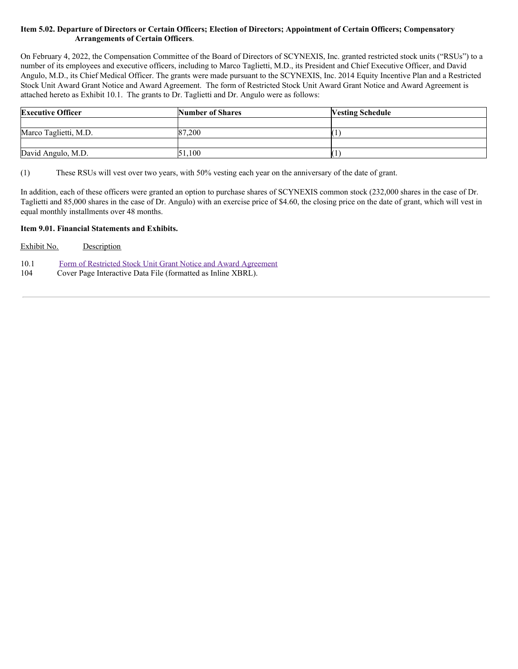## Item 5.02. Departure of Directors or Certain Officers; Election of Directors; Appointment of Certain Officers; Compensatory **Arrangements of Certain Officers**.

On February 4, 2022, the Compensation Committee of the Board of Directors of SCYNEXIS, Inc. granted restricted stock units ("RSUs") to a number of its employees and executive officers, including to Marco Taglietti, M.D., its President and Chief Executive Officer, and David Angulo, M.D., its Chief Medical Officer. The grants were made pursuant to the SCYNEXIS, Inc. 2014 Equity Incentive Plan and a Restricted Stock Unit Award Grant Notice and Award Agreement. The form of Restricted Stock Unit Award Grant Notice and Award Agreement is attached hereto as Exhibit 10.1. The grants to Dr. Taglietti and Dr. Angulo were as follows:

| <b>Executive Officer</b> | <b>Number of Shares</b> | <b>Vesting Schedule</b> |
|--------------------------|-------------------------|-------------------------|
|                          |                         |                         |
| Marco Taglietti, M.D.    | 87.200                  |                         |
|                          |                         |                         |
| David Angulo, M.D.       | 51.100                  |                         |

(1) These RSUs will vest over two years, with 50% vesting each year on the anniversary of the date of grant.

In addition, each of these officers were granted an option to purchase shares of SCYNEXIS common stock (232,000 shares in the case of Dr. Taglietti and 85,000 shares in the case of Dr. Angulo) with an exercise price of \$4.60, the closing price on the date of grant, which will vest in equal monthly installments over 48 months.

## **Item 9.01. Financial Statements and Exhibits.**

| Exhibit No. | Description |
|-------------|-------------|
|-------------|-------------|

| 10.1 | Form of Restricted Stock Unit Grant Notice and Award Agreement |  |  |
|------|----------------------------------------------------------------|--|--|
|      |                                                                |  |  |

104 Cover Page Interactive Data File (formatted as Inline XBRL).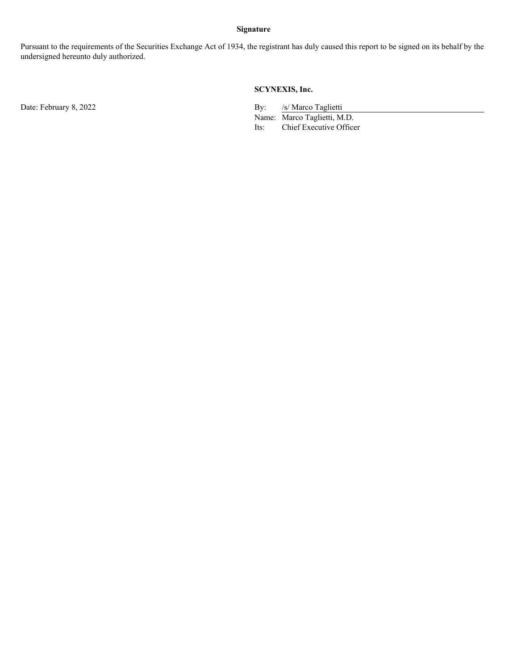## **Signature**

Pursuant to the requirements of the Securities Exchange Act of 1934, the registrant has duly caused this report to be signed on its behalf by the undersigned hereunto duly authorized.

## **SCYNEXIS, Inc.**

Date: February 8, 2022 By: /s/ Marco Taglietti

Name: Marco Taglietti, M.D. Its: Chief Executive Officer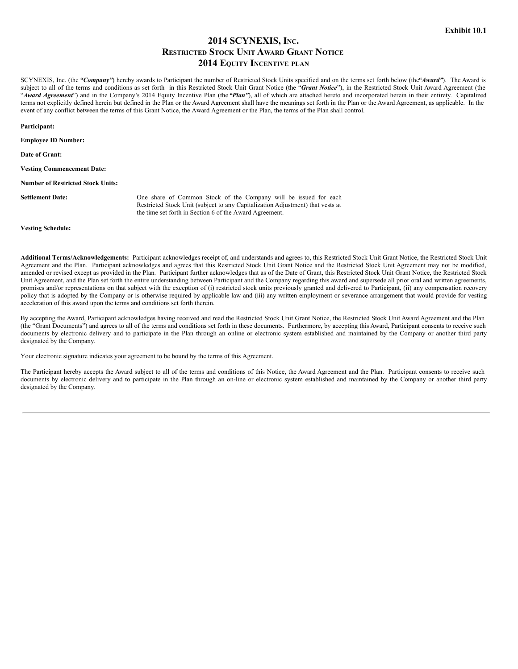## **2014 SCYNEXIS, INC. RESTRICTED STOCK UNIT AWARD GRANT NOTICE 2014 EQUITY INCENTIVE PLAN**

SCYNEXIS, Inc. (the *"Company"*) hereby awards to Participant the number of Restricted Stock Units specified and on the terms set forth below (the*"Award"*). The Award is subject to all of the terms and conditions as set forth in this Restricted Stock Unit Grant Notice (the "Grant Notice"), in the Restricted Stock Unit Award Agreement (the "*Award Agreement*") and in the Company's 2014 Equity Incentive Plan (the *"Plan"*), all of which are attached hereto and incorporated herein in their entirety. Capitalized terms not explicitly defined herein but defined in the Plan or the Award Agreement shall have the meanings set forth in the Plan or the Award Agreement, as applicable. In the event of any conflict between the terms of this Grant Notice, the Award Agreement or the Plan, the terms of the Plan shall control.

**Participant:**

**Employee ID Number:**

**Date of Grant:**

**Vesting Commencement Date:**

**Number of Restricted Stock Units:**

**Settlement Date:** One share of Common Stock of the Company will be issued for each Restricted Stock Unit (subject to any Capitalization Adjustment) that vests at the time set forth in Section 6 of the Award Agreement.

**Vesting Schedule:**

**Additional Terms/Acknowledgements:** Participant acknowledges receipt of, and understands and agrees to, this Restricted Stock Unit Grant Notice, the Restricted Stock Unit Agreement and the Plan. Participant acknowledges and agrees that this Restricted Stock Unit Grant Notice and the Restricted Stock Unit Agreement may not be modified, amended or revised except as provided in the Plan. Participant further acknowledges that as of the Date of Grant, this Restricted Stock Unit Grant Notice, the Restricted Stock Unit Agreement, and the Plan set forth the entire understanding between Participant and the Company regarding this award and supersede all prior oral and written agreements, promises and/or representations on that subject with the exception of (i) restricted stock units previously granted and delivered to Participant, (ii) any compensation recovery policy that is adopted by the Company or is otherwise required by applicable law and (iii) any written employment or severance arrangement that would provide for vesting acceleration of this award upon the terms and conditions set forth therein.

By accepting the Award, Participant acknowledges having received and read the Restricted Stock Unit Grant Notice, the Restricted Stock Unit Award Agreement and the Plan (the "Grant Documents") and agrees to all of the terms and conditions set forth in these documents. Furthermore, by accepting this Award, Participant consents to receive such documents by electronic delivery and to participate in the Plan through an online or electronic system established and maintained by the Company or another third party designated by the Company.

Your electronic signature indicates your agreement to be bound by the terms of this Agreement.

The Participant hereby accepts the Award subject to all of the terms and conditions of this Notice, the Award Agreement and the Plan. Participant consents to receive such documents by electronic delivery and to participate in the Plan through an on-line or electronic system established and maintained by the Company or another third party designated by the Company.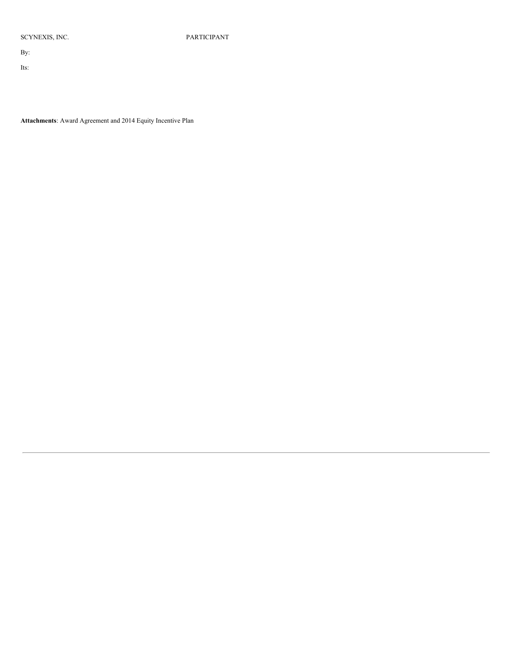SCYNEXIS, INC. PARTICIPANT

By:

Its:

**Attachments**: Award Agreement and 2014 Equity Incentive Plan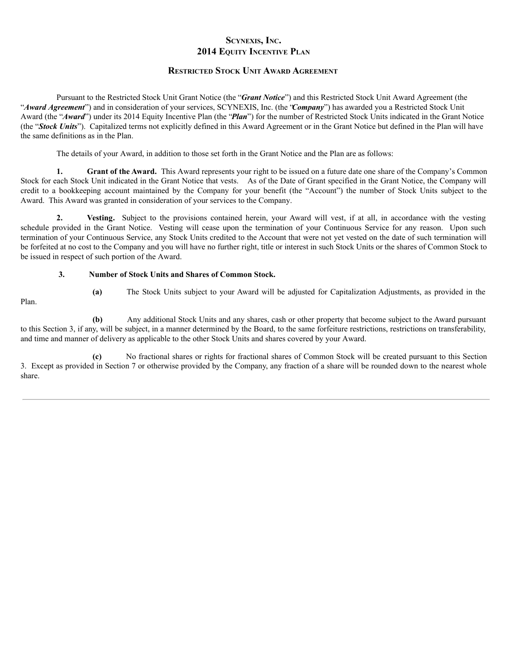## **SCYNEXIS, INC. 2014 EQUITY INCENTIVE PLAN**

## **RESTRICTED STOCK UNIT AWARD AGREEMENT**

Pursuant to the Restricted Stock Unit Grant Notice (the "*Grant Notice*") and this Restricted Stock Unit Award Agreement (the "*Award Agreement*") and in consideration of your services, SCYNEXIS, Inc. (the "*Company*") has awarded you a Restricted Stock Unit Award (the "*Award*") under its 2014 Equity Incentive Plan (the "*Plan*") for the number of Restricted Stock Units indicated in the Grant Notice (the "*Stock Units*"). Capitalized terms not explicitly defined in this Award Agreement or in the Grant Notice but defined in the Plan will have the same definitions as in the Plan.

The details of your Award, in addition to those set forth in the Grant Notice and the Plan are as follows:

**1. Grant of the Award.** This Award represents your right to be issued on a future date one share of the Company's Common Stock for each Stock Unit indicated in the Grant Notice that vests. As of the Date of Grant specified in the Grant Notice, the Company will credit to a bookkeeping account maintained by the Company for your benefit (the "Account") the number of Stock Units subject to the Award. This Award was granted in consideration of your services to the Company.

**2. Vesting.** Subject to the provisions contained herein, your Award will vest, if at all, in accordance with the vesting schedule provided in the Grant Notice. Vesting will cease upon the termination of your Continuous Service for any reason. Upon such termination of your Continuous Service, any Stock Units credited to the Account that were not yet vested on the date of such termination will be forfeited at no cost to the Company and you will have no further right, title or interest in such Stock Units or the shares of Common Stock to be issued in respect of such portion of the Award.

### **3. Number of Stock Units and Shares of Common Stock.**

```
Plan.
```
**(a)** The Stock Units subject to your Award will be adjusted for Capitalization Adjustments, as provided in the

**(b)** Any additional Stock Units and any shares, cash or other property that become subject to the Award pursuant to this Section 3, if any, will be subject, in a manner determined by the Board, to the same forfeiture restrictions, restrictions on transferability, and time and manner of delivery as applicable to the other Stock Units and shares covered by your Award.

**(c)** No fractional shares or rights for fractional shares of Common Stock will be created pursuant to this Section 3. Except as provided in Section 7 or otherwise provided by the Company, any fraction of a share will be rounded down to the nearest whole share.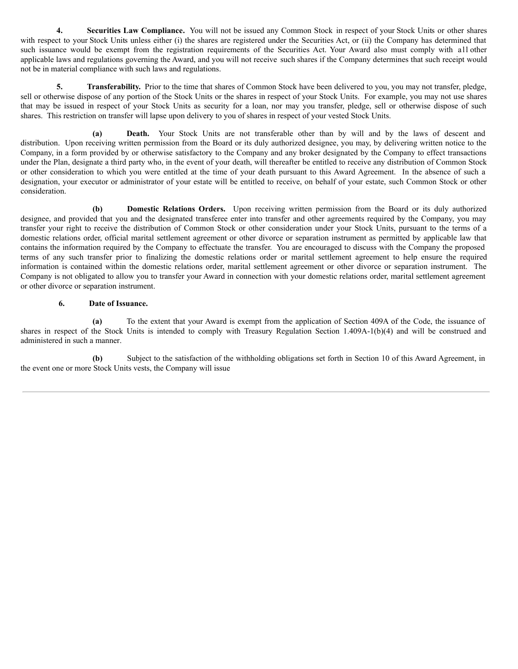**4. Securities Law Compliance.** You will not be issued any Common Stock in respect of your Stock Units or other shares with respect to your Stock Units unless either (i) the shares are registered under the Securities Act, or (ii) the Company has determined that such issuance would be exempt from the registration requirements of the Securities Act. Your Award also must comply with all other applicable laws and regulations governing the Award, and you will not receive such shares if the Company determines that such receipt would not be in material compliance with such laws and regulations.

**5. Transferability.** Prior to the time that shares of Common Stock have been delivered to you, you may not transfer, pledge, sell or otherwise dispose of any portion of the Stock Units or the shares in respect of your Stock Units. For example, you may not use shares that may be issued in respect of your Stock Units as security for a loan, nor may you transfer, pledge, sell or otherwise dispose of such shares. This restriction on transfer will lapse upon delivery to you of shares in respect of your vested Stock Units.

**(a) Death.** Your Stock Units are not transferable other than by will and by the laws of descent and distribution. Upon receiving written permission from the Board or its duly authorized designee, you may, by delivering written notice to the Company, in a form provided by or otherwise satisfactory to the Company and any broker designated by the Company to effect transactions under the Plan, designate a third party who, in the event of your death, will thereafter be entitled to receive any distribution of Common Stock or other consideration to which you were entitled at the time of your death pursuant to this Award Agreement. In the absence of such a designation, your executor or administrator of your estate will be entitled to receive, on behalf of your estate, such Common Stock or other consideration.

**(b) Domestic Relations Orders.** Upon receiving written permission from the Board or its duly authorized designee, and provided that you and the designated transferee enter into transfer and other agreements required by the Company, you may transfer your right to receive the distribution of Common Stock or other consideration under your Stock Units, pursuant to the terms of a domestic relations order, official marital settlement agreement or other divorce or separation instrument as permitted by applicable law that contains the information required by the Company to effectuate the transfer. You are encouraged to discuss with the Company the proposed terms of any such transfer prior to finalizing the domestic relations order or marital settlement agreement to help ensure the required information is contained within the domestic relations order, marital settlement agreement or other divorce or separation instrument. The Company is not obligated to allow you to transfer your Award in connection with your domestic relations order, marital settlement agreement or other divorce or separation instrument.

#### **6. Date of Issuance.**

**(a)** To the extent that your Award is exempt from the application of Section 409A of the Code, the issuance of shares in respect of the Stock Units is intended to comply with Treasury Regulation Section 1.409A-1(b)(4) and will be construed and administered in such a manner.

**(b)** Subject to the satisfaction of the withholding obligations set forth in Section 10 of this Award Agreement, in the event one or more Stock Units vests, the Company will issue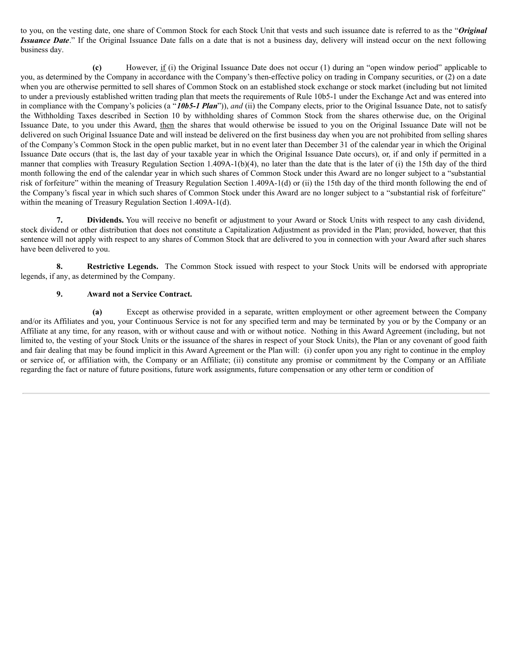<span id="page-7-0"></span>to you, on the vesting date, one share of Common Stock for each Stock Unit that vests and such issuance date is referred to as the "*Original Issuance Date*." If the Original Issuance Date falls on a date that is not a business day, delivery will instead occur on the next following business day.

**(c)** However, if (i) the Original Issuance Date does not occur (1) during an "open window period" applicable to you, as determined by the Company in accordance with the Company's then-effective policy on trading in Company securities, or (2) on a date when you are otherwise permitted to sell shares of Common Stock on an established stock exchange or stock market (including but not limited to under a previously established written trading plan that meets the requirements of Rule 10b5-1 under the Exchange Act and was entered into in compliance with the Company's policies (a "*10b5-1 Plan*")), *and* (ii) the Company elects, prior to the Original Issuance Date, not to satisfy the Withholding Taxes described in Section 10 by withholding shares of Common Stock from the shares otherwise due, on the Original Issuance Date, to you under this Award, then the shares that would otherwise be issued to you on the Original Issuance Date will not be delivered on such Original Issuance Date and will instead be delivered on the first business day when you are not prohibited from selling shares of the Company's Common Stock in the open public market, but in no event later than December 31 of the calendar year in which the Original Issuance Date occurs (that is, the last day of your taxable year in which the Original Issuance Date occurs), or, if and only if permitted in a manner that complies with Treasury Regulation Section 1.409A-1(b)(4), no later than the date that is the later of (i) the 15th day of the third month following the end of the calendar year in which such shares of Common Stock under this Award are no longer subject to a "substantial risk of forfeiture" within the meaning of Treasury Regulation Section 1.409A-1(d) or (ii) the 15th day of the third month following the end of the Company's fiscal year in which such shares of Common Stock under this Award are no longer subject to a "substantial risk of forfeiture" within the meaning of Treasury Regulation Section 1.409A-1(d).

**7. Dividends.** You will receive no benefit or adjustment to your Award or Stock Units with respect to any cash dividend, stock dividend or other distribution that does not constitute a Capitalization Adjustment as provided in the Plan; provided, however, that this sentence will not apply with respect to any shares of Common Stock that are delivered to you in connection with your Award after such shares have been delivered to you.

**8. Restrictive Legends.** The Common Stock issued with respect to your Stock Units will be endorsed with appropriate legends, if any, as determined by the Company.

## **9. Award not a Service Contract.**

**(a)** Except as otherwise provided in a separate, written employment or other agreement between the Company and/or its Affiliates and you, your Continuous Service is not for any specified term and may be terminated by you or by the Company or an Affiliate at any time, for any reason, with or without cause and with or without notice. Nothing in this Award Agreement (including, but not limited to, the vesting of your Stock Units or the issuance of the shares in respect of your Stock Units), the Plan or any covenant of good faith and fair dealing that may be found implicit in this Award Agreement or the Plan will: (i) confer upon you any right to continue in the employ or service of, or affiliation with, the Company or an Affiliate; (ii) constitute any promise or commitment by the Company or an Affiliate regarding the fact or nature of future positions, future work assignments, future compensation or any other term or condition of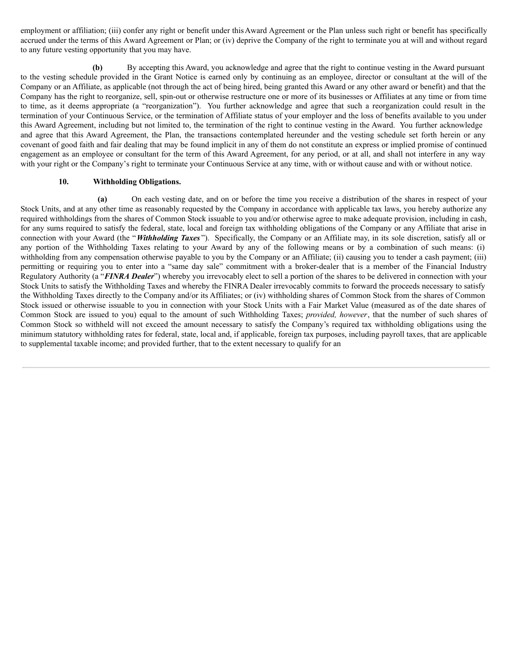employment or affiliation; (iii) confer any right or benefit under thisAward Agreement or the Plan unless such right or benefit has specifically accrued under the terms of this Award Agreement or Plan; or (iv) deprive the Company of the right to terminate you at will and without regard to any future vesting opportunity that you may have.

**(b)** By accepting this Award, you acknowledge and agree that the right to continue vesting in the Award pursuant to the vesting schedule provided in the Grant Notice is earned only by continuing as an employee, director or consultant at the will of the Company or an Affiliate, as applicable (not through the act of being hired, being granted this Award or any other award or benefit) and that the Company has the right to reorganize, sell, spin-out or otherwise restructure one or more of its businesses or Affiliates at any time or from time to time, as it deems appropriate (a "reorganization"). You further acknowledge and agree that such a reorganization could result in the termination of your Continuous Service, or the termination of Affiliate status of your employer and the loss of benefits available to you under this Award Agreement, including but not limited to, the termination of the right to continue vesting in the Award. You further acknowledge and agree that this Award Agreement, the Plan, the transactions contemplated hereunder and the vesting schedule set forth herein or any covenant of good faith and fair dealing that may be found implicit in any of them do not constitute an express or implied promise of continued engagement as an employee or consultant for the term of this Award Agreement, for any period, or at all, and shall not interfere in any way with your right or the Company's right to terminate your Continuous Service at any time, with or without cause and with or without notice.

## **10. Withholding Obligations.**

**(a)** On each vesting date, and on or before the time you receive a distribution of the shares in respect of your Stock Units, and at any other time as reasonably requested by the Company in accordance with applicable tax laws, you hereby authorize any required withholdings from the shares of Common Stock issuable to you and/or otherwise agree to make adequate provision, including in cash, for any sums required to satisfy the federal, state, local and foreign tax withholding obligations of the Company or any Affiliate that arise in connection with your Award (the "*Withholding Taxes* "). Specifically, the Company or an Affiliate may, in its sole discretion, satisfy all or any portion of the Withholding Taxes relating to your Award by any of the following means or by a combination of such means: (i) withholding from any compensation otherwise payable to you by the Company or an Affiliate; (ii) causing you to tender a cash payment; (iii) permitting or requiring you to enter into a "same day sale" commitment with a broker-dealer that is a member of the Financial Industry Regulatory Authority (a "*FINRA Dealer*") whereby you irrevocably elect to sell a portion of the shares to be delivered in connection with your Stock Units to satisfy the Withholding Taxes and whereby the FINRA Dealer irrevocably commits to forward the proceeds necessary to satisfy the Withholding Taxes directly to the Company and/or its Affiliates; or (iv) withholding shares of Common Stock from the shares of Common Stock issued or otherwise issuable to you in connection with your Stock Units with a Fair Market Value (measured as of the date shares of Common Stock are issued to you) equal to the amount of such Withholding Taxes; *provided, however*, that the number of such shares of Common Stock so withheld will not exceed the amount necessary to satisfy the Company's required tax withholding obligations using the minimum statutory withholding rates for federal, state, local and, if applicable, foreign tax purposes, including payroll taxes, that are applicable to supplemental taxable income; and provided further, that to the extent necessary to qualify for an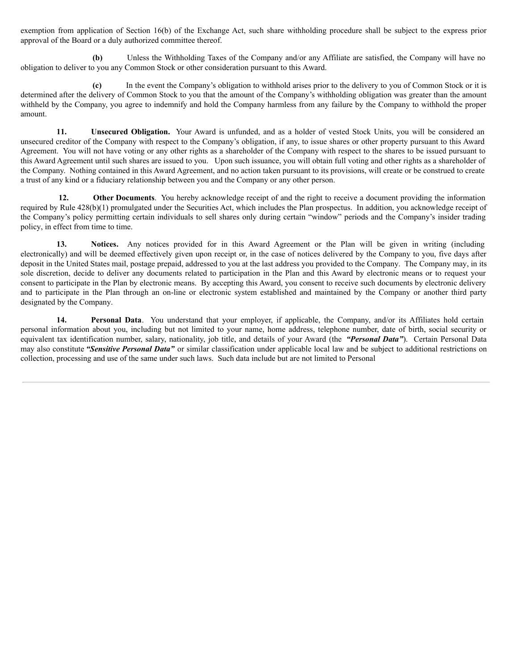exemption from application of Section 16(b) of the Exchange Act, such share withholding procedure shall be subject to the express prior approval of the Board or a duly authorized committee thereof.

**(b)** Unless the Withholding Taxes of the Company and/or any Affiliate are satisfied, the Company will have no obligation to deliver to you any Common Stock or other consideration pursuant to this Award.

**(c)** In the event the Company's obligation to withhold arises prior to the delivery to you of Common Stock or it is determined after the delivery of Common Stock to you that the amount of the Company's withholding obligation was greater than the amount withheld by the Company, you agree to indemnify and hold the Company harmless from any failure by the Company to withhold the proper amount.

**11. Unsecured Obligation.** Your Award is unfunded, and as a holder of vested Stock Units, you will be considered an unsecured creditor of the Company with respect to the Company's obligation, if any, to issue shares or other property pursuant to this Award Agreement. You will not have voting or any other rights as a shareholder of the Company with respect to the shares to be issued pursuant to this Award Agreement until such shares are issued to you. Upon such issuance, you will obtain full voting and other rights as a shareholder of the Company. Nothing contained in this Award Agreement, and no action taken pursuant to its provisions, will create or be construed to create a trust of any kind or a fiduciary relationship between you and the Company or any other person.

**12. Other Documents**. You hereby acknowledge receipt of and the right to receive a document providing the information required by Rule 428(b)(1) promulgated under the Securities Act, which includes the Plan prospectus. In addition, you acknowledge receipt of the Company's policy permitting certain individuals to sell shares only during certain "window" periods and the Company's insider trading policy, in effect from time to time.

**13. Notices.** Any notices provided for in this Award Agreement or the Plan will be given in writing (including electronically) and will be deemed effectively given upon receipt or, in the case of notices delivered by the Company to you, five days after deposit in the United States mail, postage prepaid, addressed to you at the last address you provided to the Company. The Company may, in its sole discretion, decide to deliver any documents related to participation in the Plan and this Award by electronic means or to request your consent to participate in the Plan by electronic means. By accepting this Award, you consent to receive such documents by electronic delivery and to participate in the Plan through an on-line or electronic system established and maintained by the Company or another third party designated by the Company.

**14. Personal Data**. You understand that your employer, if applicable, the Company, and/or its Affiliates hold certain personal information about you, including but not limited to your name, home address, telephone number, date of birth, social security or equivalent tax identification number, salary, nationality, job title, and details of your Award (the *"Personal Data"*). Certain Personal Data may also constitute *"Sensitive Personal Data"* or similar classification under applicable local law and be subject to additional restrictions on collection, processing and use of the same under such laws. Such data include but are not limited to Personal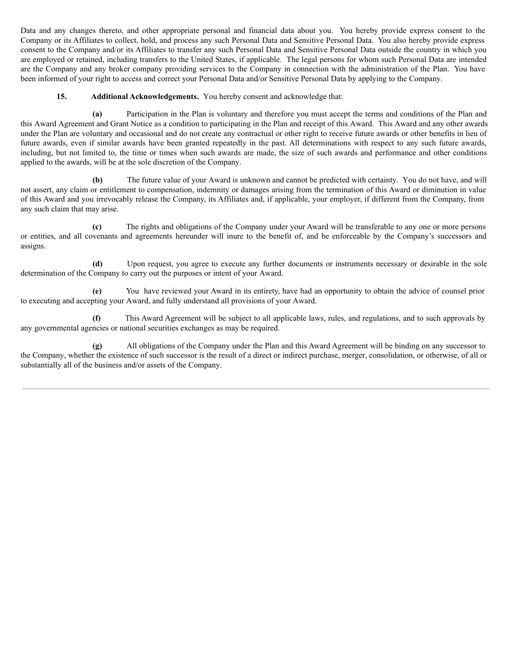Data and any changes thereto, and other appropriate personal and financial data about you. You hereby provide express consent to the Company or its Affiliates to collect, hold, and process any such Personal Data and Sensitive Personal Data. You also hereby provide express consent to the Company and/or its Affiliates to transfer any such Personal Data and Sensitive Personal Data outside the country in which you are employed or retained, including transfers to the United States, if applicable. The legal persons for whom such Personal Data are intended are the Company and any broker company providing services to the Company in connection with the administration of the Plan. You have been informed of your right to access and correct your Personal Data and/or Sensitive Personal Data by applying to the Company.

## **15. Additional Acknowledgements.** You hereby consent and acknowledge that:

**(a)** Participation in the Plan is voluntary and therefore you must accept the terms and conditions of the Plan and this Award Agreement and Grant Notice as a condition to participating in the Plan and receipt of this Award. This Award and any other awards under the Plan are voluntary and occasional and do not create any contractual or other right to receive future awards or other benefits in lieu of future awards, even if similar awards have been granted repeatedly in the past. All determinations with respect to any such future awards, including, but not limited to, the time or times when such awards are made, the size of such awards and performance and other conditions applied to the awards, will be at the sole discretion of the Company.

**(b)** The future value of your Award is unknown and cannot be predicted with certainty. You do not have, and will not assert, any claim or entitlement to compensation, indemnity or damages arising from the termination of this Award or diminution in value of this Award and you irrevocably release the Company, its Affiliates and, if applicable, your employer, if different from the Company, from any such claim that may arise.

**(c)** The rights and obligations of the Company under your Award will be transferable to any one or more persons or entities, and all covenants and agreements hereunder will inure to the benefit of, and be enforceable by the Company's successors and assigns.

**(d)** Upon request, you agree to execute any further documents or instruments necessary or desirable in the sole determination of the Company to carry out the purposes or intent of your Award.

**(e)** You have reviewed your Award in its entirety, have had an opportunity to obtain the advice of counsel prior to executing and accepting your Award, and fully understand all provisions of your Award.

**(f)** This Award Agreement will be subject to all applicable laws, rules, and regulations, and to such approvals by any governmental agencies or national securities exchanges as may be required.

**(g)** All obligations of the Company under the Plan and this Award Agreement will be binding on any successor to the Company, whether the existence of such successor is the result of a direct or indirect purchase, merger, consolidation, or otherwise, of all or substantially all of the business and/or assets of the Company.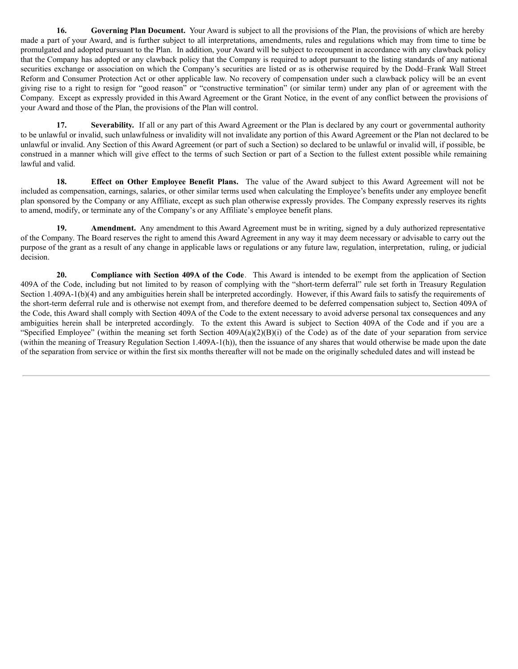**16. Governing Plan Document.** Your Award is subject to all the provisions of the Plan, the provisions of which are hereby made a part of your Award, and is further subject to all interpretations, amendments, rules and regulations which may from time to time be promulgated and adopted pursuant to the Plan. In addition, your Award will be subject to recoupment in accordance with any clawback policy that the Company has adopted or any clawback policy that the Company is required to adopt pursuant to the listing standards of any national securities exchange or association on which the Company's securities are listed or as is otherwise required by the Dodd–Frank Wall Street Reform and Consumer Protection Act or other applicable law. No recovery of compensation under such a clawback policy will be an event giving rise to a right to resign for "good reason" or "constructive termination" (or similar term) under any plan of or agreement with the Company. Except as expressly provided in this Award Agreement or the Grant Notice, in the event of any conflict between the provisions of your Award and those of the Plan, the provisions of the Plan will control.

**17. Severability.** If all or any part of this Award Agreement or the Plan is declared by any court or governmental authority to be unlawful or invalid, such unlawfulness or invalidity will not invalidate any portion of this Award Agreement or the Plan not declared to be unlawful or invalid. Any Section of this Award Agreement (or part of such a Section) so declared to be unlawful or invalid will, if possible, be construed in a manner which will give effect to the terms of such Section or part of a Section to the fullest extent possible while remaining lawful and valid.

**18. Effect on Other Employee Benefit Plans.** The value of the Award subject to this Award Agreement will not be included as compensation, earnings, salaries, or other similar terms used when calculating the Employee's benefits under any employee benefit plan sponsored by the Company or any Affiliate, except as such plan otherwise expressly provides. The Company expressly reserves its rights to amend, modify, or terminate any of the Company's or any Affiliate's employee benefit plans.

**19. Amendment.** Any amendment to this Award Agreement must be in writing, signed by a duly authorized representative of the Company. The Board reserves the right to amend this Award Agreement in any way it may deem necessary or advisable to carry out the purpose of the grant as a result of any change in applicable laws or regulations or any future law, regulation, interpretation, ruling, or judicial decision.

**20. Compliance with Section 409A of the Code***.* This Award is intended to be exempt from the application of Section 409A of the Code, including but not limited to by reason of complying with the "short-term deferral" rule set forth in Treasury Regulation Section 1.409A-1(b)(4) and any ambiguities herein shall be interpreted accordingly. However, if this Award fails to satisfy the requirements of the short-term deferral rule and is otherwise not exempt from, and therefore deemed to be deferred compensation subject to, Section 409A of the Code, this Award shall comply with Section 409A of the Code to the extent necessary to avoid adverse personal tax consequences and any ambiguities herein shall be interpreted accordingly. To the extent this Award is subject to Section 409A of the Code and if you are a "Specified Employee" (within the meaning set forth Section 409A(a)(2)(B)(i) of the Code) as of the date of your separation from service (within the meaning of Treasury Regulation Section 1.409A-1(h)), then the issuance of any shares that would otherwise be made upon the date of the separation from service or within the first six months thereafter will not be made on the originally scheduled dates and will instead be